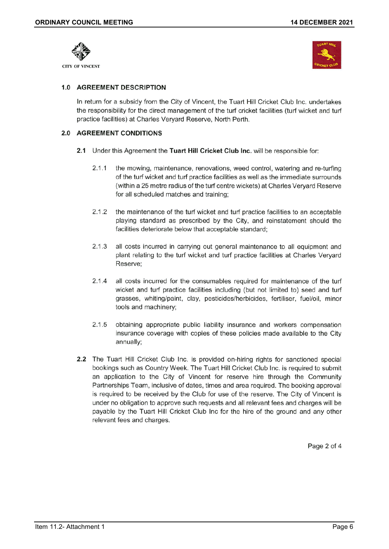



# 1.0 AGREEMENT DESCRIPTION

In return for a subsidy from the City of Vincent, the Tuart Hill Cricket Club Inc. undertakes the responsibility for the direct management of the turf cricket facilities (turf wicket and turf practice facilities) at Charles Veryard Reserve, North Perth.

## 2.0 AGREEMENT CONDITIONS

- 2.1 Under this Agreement the Tuart Hill Cricket Club Inc. will be responsible for:
	- $2.1.1$ the mowing, maintenance, renovations, weed control, watering and re-turfing of the turf wicket and turf practice facilities as well as the immediate surrounds (within a 25 metre radius of the turf centre wickets) at Charles Veryard Reserve for all scheduled matches and training;
	- $2.1.2$ the maintenance of the turf wicket and turf practice facilities to an acceptable playing standard as prescribed by the City, and reinstatement should the facilities deteriorate below that acceptable standard;
	- $2.1.3$ all costs incurred in carrying out general maintenance to all equipment and plant relating to the turf wicket and turf practice facilities at Charles Veryard Reserve:
	- $2.1.4$ all costs incurred for the consumables required for maintenance of the turf wicket and turf practice facilities including (but not limited to) seed and turf grasses, whiting/paint, clay, pesticides/herbicides, fertiliser, fuel/oil, minor tools and machinery;
	- $2.1.5$ obtaining appropriate public liability insurance and workers compensation insurance coverage with copies of these policies made available to the City annually;
- 2.2 The Tuart Hill Cricket Club Inc. is provided on-hiring rights for sanctioned special bookings such as Country Week. The Tuart Hill Cricket Club Inc. is required to submit an application to the City of Vincent for reserve hire through the Community Partnerships Team, inclusive of dates, times and area required. The booking approval is required to be received by the Club for use of the reserve. The City of Vincent is under no obligation to approve such requests and all relevant fees and charges will be payable by the Tuart Hill Cricket Club Inc for the hire of the ground and any other relevant fees and charges.

Page 2 of 4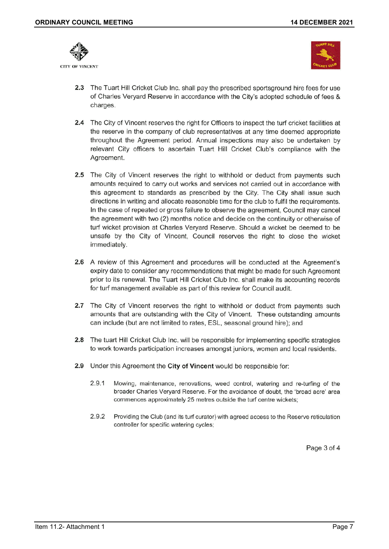

**CITY OF VINCENT** 



- 2.3 The Tuart Hill Cricket Club Inc. shall pay the prescribed sportsground hire fees for use of Charles Veryard Reserve in accordance with the City's adopted schedule of fees & charges.
- 2.4 The City of Vincent reserves the right for Officers to inspect the turf cricket facilities at the reserve in the company of club representatives at any time deemed appropriate throughout the Agreement period. Annual inspections may also be undertaken by relevant City officers to ascertain Tuart Hill Cricket Club's compliance with the Agreement.
- 2.5 The City of Vincent reserves the right to withhold or deduct from payments such amounts required to carry out works and services not carried out in accordance with this agreement to standards as prescribed by the City. The City shall issue such directions in writing and allocate reasonable time for the club to fulfil the requirements. In the case of repeated or gross failure to observe the agreement, Council may cancel the agreement with two (2) months notice and decide on the continuity or otherwise of turf wicket provision at Charles Veryard Reserve. Should a wicket be deemed to be unsafe by the City of Vincent, Council reserves the right to close the wicket immediately.
- 2.6 A review of this Agreement and procedures will be conducted at the Agreement's expiry date to consider any recommendations that might be made for such Agreement prior to its renewal. The Tuart Hill Cricket Club Inc. shall make its accounting records for turf management available as part of this review for Council audit.
- 2.7 The City of Vincent reserves the right to withhold or deduct from payments such amounts that are outstanding with the City of Vincent. These outstanding amounts can include (but are not limited to rates, ESL, seasonal ground hire); and
- 2.8 The tuart Hill Cricket Club Inc. will be responsible for implementing specific strategies to work towards participation increases amongst juniors, women and local residents.
- 2.9 Under this Agreement the City of Vincent would be responsible for:
	- $2.9.1$ Mowing, maintenance, renovations, weed control, watering and re-turfing of the broader Charles Veryard Reserve. For the avoidance of doubt, the 'broad acre' area commences approximately 25 metres outside the turf centre wickets;
	- 2.9.2 Providing the Club (and its turf curator) with agreed access to the Reserve reticulation controller for specific watering cycles;

Page 3 of 4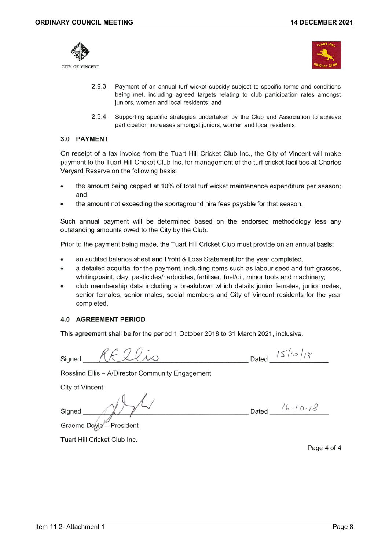



- 2.9.3 Payment of an annual turf wicket subsidy subject to specific terms and conditions being met, including agreed targets relating to club participation rates amongst juniors, women and local residents; and
- 2.9.4 Supporting specific strategies undertaken by the Club and Association to achieve participation increases amongst juniors, women and local residents.

## 3.0 PAYMENT

On receipt of a tax invoice from the Tuart Hill Cricket Club Inc., the City of Vincent will make payment to the Tuart Hill Cricket Club Inc. for management of the turf cricket facilities at Charles Veryard Reserve on the following basis:

- the amount being capped at 10% of total turf wicket maintenance expenditure per season; and
- the amount not exceeding the sportsground hire fees payable for that season.

Such annual payment will be determined based on the endorsed methodology less any outstanding amounts owed to the City by the Club.

Prior to the payment being made, the Tuart Hill Cricket Club must provide on an annual basis:

- an audited balance sheet and Profit & Loss Statement for the year completed.
- a detailed acquittal for the payment, including items such as labour seed and turf grasses, whiting/paint, clay, pesticides/herbicides, fertiliser, fuel/oil, minor tools and machinery;
- club membership data including a breakdown which details junior females, junior males, senior females, senior males, social members and City of Vincent residents for the year completed.

## **4.0 AGREEMENT PERIOD**

This agreement shall be for the period 1 October 2018 to 31 March 2021, inclusive.

Signed

Dated  $15/10/18$ 

Rosslind Ellis - A/Director Community Engagement

**City of Vincent** 

Signed

Dated  $/6.10.18$ 

Graeme Doyle - President

Tuart Hill Cricket Club Inc.

Page 4 of 4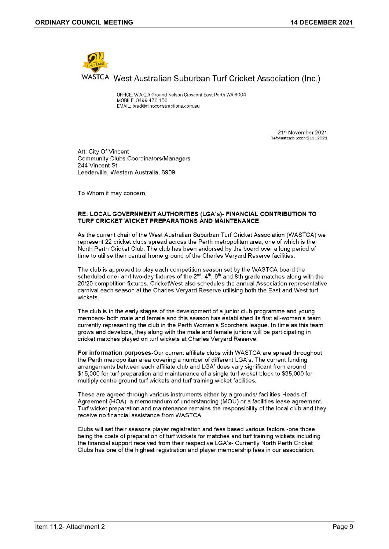

OFFICE: W.A.C.A Ground Nelson Crescent East Perth WA 6004 MOBILE: 0499 476 156 EMAIL: brad@ninoconstructions.com.au

> 21st November 2021 Ref:wastca:bip:con:21112021

Att: City Of Vincent **Community Clubs Coordinators/Managers** 244 Vincent St Leederville, Western Australia, 6909

To Whom it may concern,

#### RE: LOCAL GOVERNMENT AUTHORITIES (LGA's)- FINANCIAL CONTRIBUTION TO TURF CRICKET WICKET PREPARATIONS AND MAINTENANCE

As the current chair of the West Australian Suburban Turf Cricket Association (WASTCA) we represent 22 cricket clubs spread across the Perth metropolitan area, one of which is the North Perth Cricket Club. The club has been endorsed by the board over a long period of time to utilise their central home ground of the Charles Veryard Reserve facilities.

The club is approved to play each competition season set by the WASTCA board the scheduled one- and two-day fixtures of the  $2^{nd}$ ,  $4^{th}$ ,  $6^{th}$  and 8th grade matches along with the 20/20 competition fixtures. CricketWest also schedules the annual Association representative carnival each season at the Charles Veryard Reserve utilising both the East and West turf wickets.

The club is in the early stages of the development of a junior club programme and young members- both male and female and this season has established its first all-women's team currently representing the club in the Perth Women's Scorchers league. In time as this team grows and develops, they along with the male and female juniors will be participating in cricket matches played on turf wickets at Charles Veryard Reserve.

For information purposes-Our current affiliate clubs with WASTCA are spread throughout the Perth metropolitan area covering a number of different LGA's. The current funding arrangements between each affiliate club and LGA' does vary significant from around \$15,000 for turf preparation and maintenance of a single turf wicket block to \$35,000 for multiply centre ground turf wickets and turf training wicket facilities.

These are agreed through various instruments either by a grounds/ facilities Heads of Agreement (HOA), a memorandum of understanding (MOU) or a facilities lease agreement. Turf wicket preparation and maintenance remains the responsibility of the local club and they receive no financial assistance from WASTCA.

Clubs will set their seasons player registration and fees based various factors -one those being the costs of preparation of turf wickets for matches and turf training wickets including the financial support received from their respective LGA's- Currently North Perth Cricket Clubs has one of the highest registration and player membership fees in our association.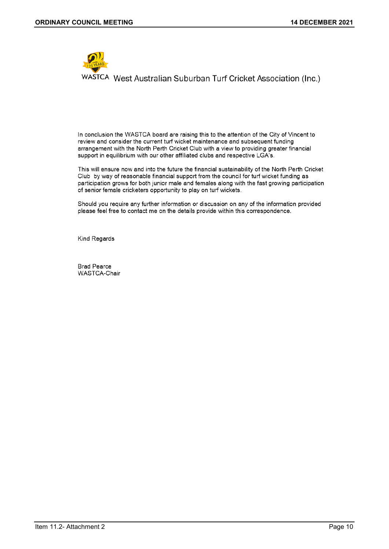

In conclusion the WASTCA board are raising this to the attention of the City of Vincent to review and consider the current turf wicket maintenance and subsequent funding arrangement with the North Perth Cricket Club with a view to providing greater financial support in equilibrium with our other affiliated clubs and respective LGA's.

This will ensure now and into the future the financial sustainability of the North Perth Cricket Club by way of reasonable financial support from the council for turf wicket funding as participation grows for both junior male and females along with the fast growing participation of senior female cricketers opportunity to play on turf wickets.

Should you require any further information or discussion on any of the information provided please feel free to contact me on the details provide within this correspondence.

Kind Regards

**Brad Pearce** WASTCA-Chair